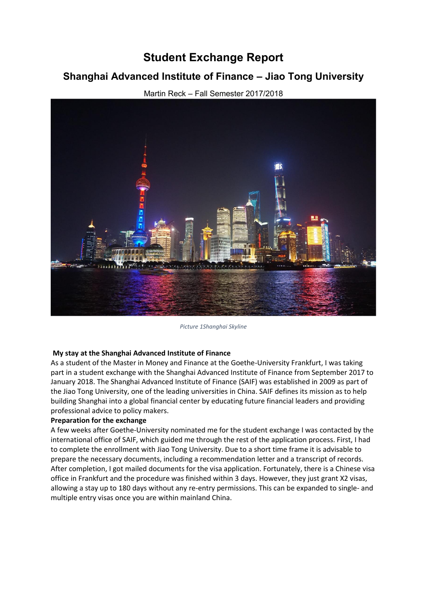# **Student Exchange Report**

## **Shanghai Advanced Institute of Finance ± Jiao Tong University**



Martin Reck - Fall Semester 2017/2018

*Picture 1Shanghai Skyline*

### **My stay at the Shanghai Advanced Institute of Finance**

As a student of the Master in Money and Finance at the Goethe-University Frankfurt, I was taking part in a student exchange with the Shanghai Advanced Institute of Finance from September 2017 to January 2018. The Shanghai Advanced Institute of Finance (SAIF) was established in 2009 as part of the Jiao Tong University, one of the leading universities in China. SAIF defines its mission as to help building Shanghai into a global financial center by educating future financial leaders and providing professional advice to policy makers.

### **Preparation for the exchange**

A few weeks after Goethe-University nominated me for the student exchange I was contacted by the international office of SAIF, which guided me through the rest of the application process. First, I had to complete the enrollment with Jiao Tong University. Due to a short time frame it is advisable to prepare the necessary documents, including a recommendation letter and a transcript of records. After completion, I got mailed documents for the visa application. Fortunately, there is a Chinese visa office in Frankfurt and the procedure was finished within 3 days. However, they just grant X2 visas, allowing a stay up to 180 days without any re-entry permissions. This can be expanded to single- and multiple entry visas once you are within mainland China.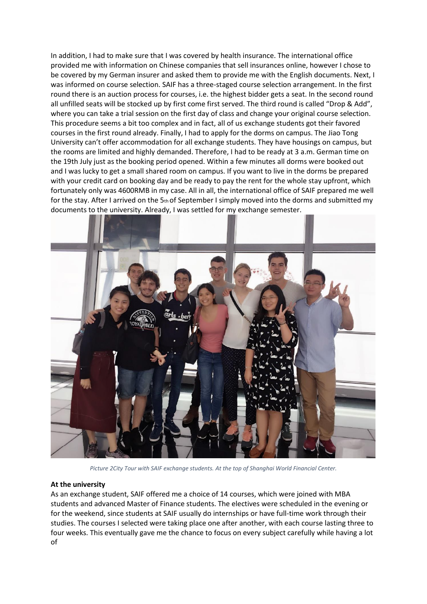In addition, I had to make sure that I was covered by health insurance. The international office provided me with information on Chinese companies that sell insurances online, however I chose to be covered by my German insurer and asked them to provide me with the English documents. Next, I was informed on course selection. SAIF has a three-staged course selection arrangement. In the first round there is an auction process for courses, i.e. the highest bidder gets a seat. In the second round all unfilled seats will be stocked up by first come first served. The third round is called "Drop & Add", where you can take a trial session on the first day of class and change your original course selection. This procedure seems a bit too complex and in fact, all of us exchange students got their favored courses in the first round already. Finally, I had to apply for the dorms on campus. The Jiao Tong University can't offer accommodation for all exchange students. They have housings on campus, but the rooms are limited and highly demanded. Therefore, I had to be ready at 3 a.m. German time on the 19th July just as the booking period opened. Within a few minutes all dorms were booked out and I was lucky to get a small shared room on campus. If you want to live in the dorms be prepared with your credit card on booking day and be ready to pay the rent for the whole stay upfront, which fortunately only was 4600RMB in my case. All in all, the international office of SAIF prepared me well for the stay. After I arrived on the  $5<sub>th</sub>$  of September I simply moved into the dorms and submitted my documents to the university. Already, I was settled for my exchange semester.



*Picture 2City Tour with SAIF exchange students. At the top of Shanghai World Financial Center.*

### **At the university**

As an exchange student, SAIF offered me a choice of 14 courses, which were joined with MBA students and advanced Master of Finance students. The electives were scheduled in the evening or for the weekend, since students at SAIF usually do internships or have full-time work through their studies. The courses I selected were taking place one after another, with each course lasting three to four weeks. This eventually gave me the chance to focus on every subject carefully while having a lot of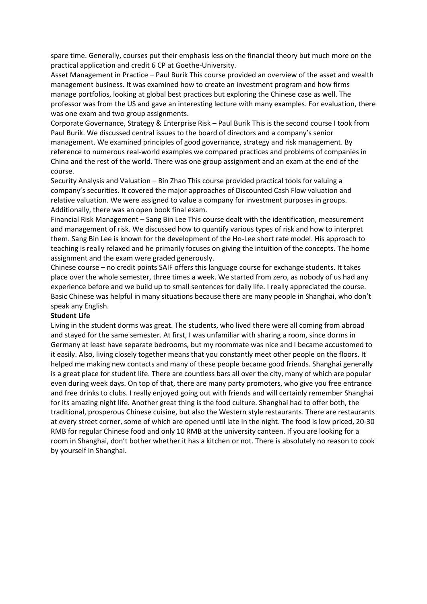spare time. Generally, courses put their emphasis less on the financial theory but much more on the practical application and credit 6 CP at Goethe-University.

Asset Management in Practice – Paul Burik This course provided an overview of the asset and wealth management business. It was examined how to create an investment program and how firms manage portfolios, looking at global best practices but exploring the Chinese case as well. The professor was from the US and gave an interesting lecture with many examples. For evaluation, there was one exam and two group assignments.

Corporate Governance, Strategy & Enterprise Risk – Paul Burik This is the second course I took from Paul Burik. We discussed central issues to the board of directors and a company's senior management. We examined principles of good governance, strategy and risk management. By reference to numerous real-world examples we compared practices and problems of companies in China and the rest of the world. There was one group assignment and an exam at the end of the course.

Security Analysis and Valuation – Bin Zhao This course provided practical tools for valuing a company's securities. It covered the major approaches of Discounted Cash Flow valuation and relative valuation. We were assigned to value a company for investment purposes in groups. Additionally, there was an open book final exam.

Financial Risk Management – Sang Bin Lee This course dealt with the identification, measurement and management of risk. We discussed how to quantify various types of risk and how to interpret them. Sang Bin Lee is known for the development of the Ho-Lee short rate model. His approach to teaching is really relaxed and he primarily focuses on giving the intuition of the concepts. The home assignment and the exam were graded generously.

Chinese course – no credit points SAIF offers this language course for exchange students. It takes place over the whole semester, three times a week. We started from zero, as nobody of us had any experience before and we build up to small sentences for daily life. I really appreciated the course. Basic Chinese was helpful in many situations because there are many people in Shanghai, who don't speak any English.

### **Student Life**

Living in the student dorms was great. The students, who lived there were all coming from abroad and stayed for the same semester. At first, I was unfamiliar with sharing a room, since dorms in Germany at least have separate bedrooms, but my roommate was nice and I became accustomed to it easily. Also, living closely together means that you constantly meet other people on the floors. It helped me making new contacts and many of these people became good friends. Shanghai generally is a great place for student life. There are countless bars all over the city, many of which are popular even during week days. On top of that, there are many party promoters, who give you free entrance and free drinks to clubs. I really enjoyed going out with friends and will certainly remember Shanghai for its amazing night life. Another great thing is the food culture. Shanghai had to offer both, the traditional, prosperous Chinese cuisine, but also the Western style restaurants. There are restaurants at every street corner, some of which are opened until late in the night. The food is low priced, 20-30 RMB for regular Chinese food and only 10 RMB at the university canteen. If you are looking for a room in Shanghai, don't bother whether it has a kitchen or not. There is absolutely no reason to cook by yourself in Shanghai.